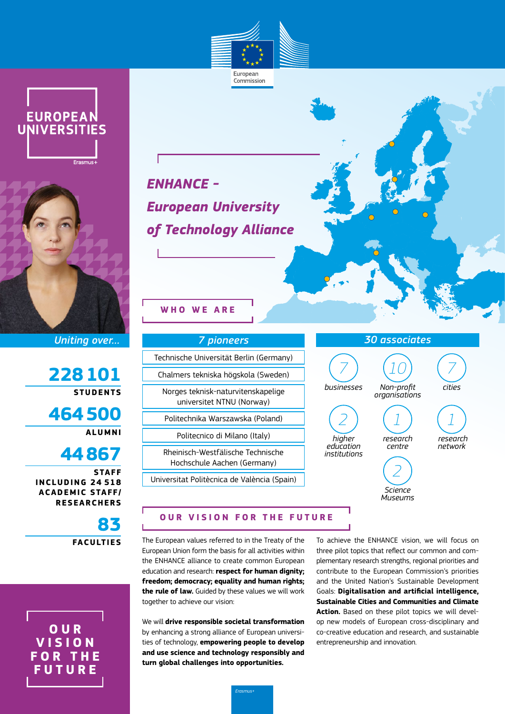

Commission





*Uniting over…*

**228101 STUDENTS**

**464500 ALUMNI**

**44867**

**STAFF INCLUDING 24 518 ACADEMIC STAFF/ RESEARCHERS**

> **83 FACULTIES**

**O U R V I S I O N F O R T H E FUTURE**

*ENHANCE - European University of Technology Alliance*

**WHO WE ARE**

## *7 pioneers* Technische Universität Berlin (Germany) Chalmers tekniska högskola (Sweden) Norges teknisk-naturvitenskapelige universitet NTNU (Norway) Politechnika Warszawska (Poland) Politecnico di Milano (Italy) Rheinisch-Westfälische Technische Hochschule Aachen (Germany) Universitat Politècnica de València (Spain)

# **OUR VISION FOR THE FUTURE**

The European values referred to in the Treaty of the European Union form the basis for all activities within the ENHANCE alliance to create common European education and research: **respect for human dignity; freedom; democracy; equality and human rights; the rule of law.** Guided by these values we will work together to achieve our vision:

We will **drive responsible societal transformation** by enhancing a strong alliance of European universities of technology, **empowering people to develop and use science and technology responsibly and turn global challenges into opportunities.**

To achieve the ENHANCE vision, we will focus on three pilot topics that reflect our common and complementary research strengths, regional priorities and contribute to the European Commission's priorities and the United Nation's Sustainable Development Goals: **Digitalisation and artificial intelligence, Sustainable Cities and Communities and Climate Action.** Based on these pilot topics we will develop new models of European cross-disciplinary and co-creative education and research, and sustainable entrepreneurship and innovation.

*30 associates 7 businesses 10 Non-profit organisations 7 cities 2 higher education institutions 1 research centre 1 research network 2 Science Museums*